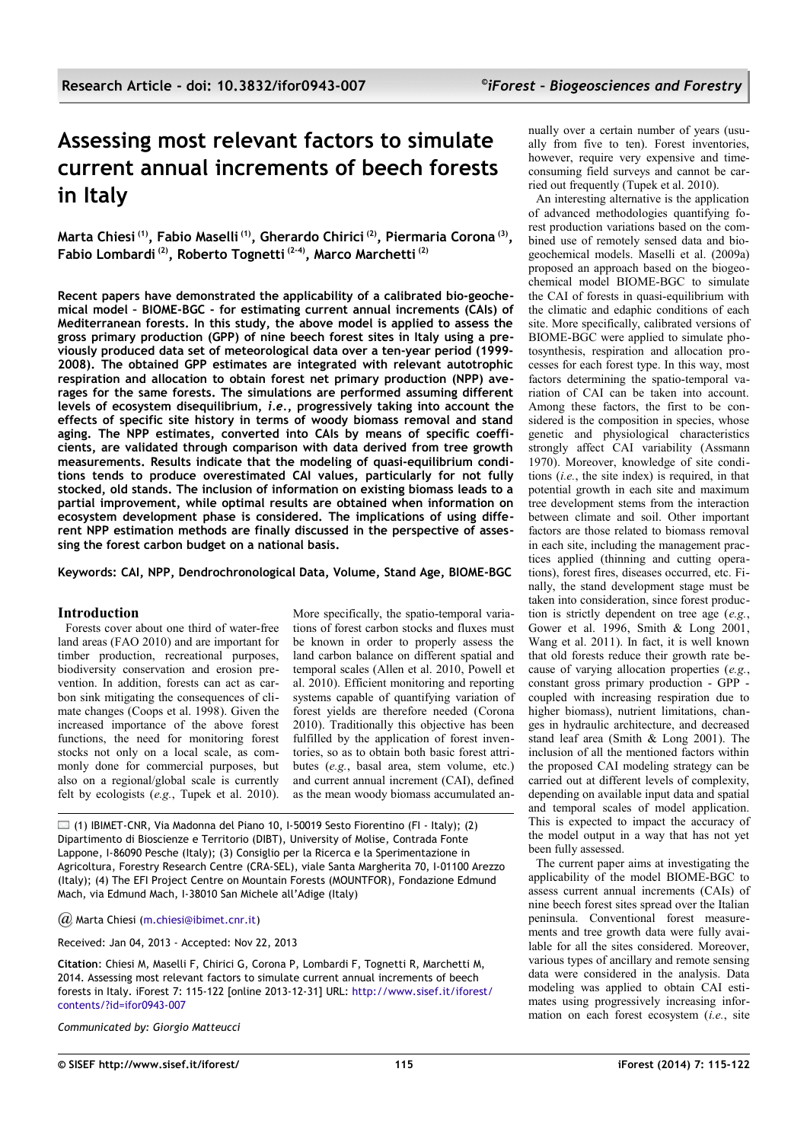# **Assessing most relevant factors to simulate current annual increments of beech forests in Italy**

**Marta Chiesi (1), Fabio Maselli (1), Gherardo Chirici (2), Piermaria Corona (3) , Fabio Lombardi (2), Roberto Tognetti (2-4), Marco Marchetti (2)**

**Recent papers have demonstrated the applicability of a calibrated bio-geochemical model – BIOME-BGC - for estimating current annual increments (CAIs) of Mediterranean forests. In this study, the above model is applied to assess the gross primary production (GPP) of nine beech forest sites in Italy using a previously produced data set of meteorological data over a ten-year period (1999- 2008). The obtained GPP estimates are integrated with relevant autotrophic respiration and allocation to obtain forest net primary production (NPP) averages for the same forests. The simulations are performed assuming different levels of ecosystem disequilibrium,** *i.e.***, progressively taking into account the effects of specific site history in terms of woody biomass removal and stand aging. The NPP estimates, converted into CAIs by means of specific coefficients, are validated through comparison with data derived from tree growth measurements. Results indicate that the modeling of quasi-equilibrium conditions tends to produce overestimated CAI values, particularly for not fully stocked, old stands. The inclusion of information on existing biomass leads to a partial improvement, while optimal results are obtained when information on ecosystem development phase is considered. The implications of using different NPP estimation methods are finally discussed in the perspective of assessing the forest carbon budget on a national basis.**

**Keywords: CAI, NPP, Dendrochronological Data, Volume, Stand Age, BIOME-BGC**

#### **Introduction**

Forests cover about one third of water-free land areas (FAO 2010) and are important for timber production, recreational purposes, biodiversity conservation and erosion prevention. In addition, forests can act as carbon sink mitigating the consequences of climate changes (Coops et al. 1998). Given the increased importance of the above forest functions, the need for monitoring forest stocks not only on a local scale, as commonly done for commercial purposes, but also on a regional/global scale is currently felt by ecologists (*e.g.*, Tupek et al. 2010).

More specifically, the spatio-temporal variations of forest carbon stocks and fluxes must be known in order to properly assess the land carbon balance on different spatial and temporal scales (Allen et al. 2010, Powell et al. 2010). Efficient monitoring and reporting systems capable of quantifying variation of forest yields are therefore needed (Corona 2010). Traditionally this objective has been fulfilled by the application of forest inventories, so as to obtain both basic forest attributes (*e.g.*, basal area, stem volume, etc.) and current annual increment (CAI), defined as the mean woody biomass accumulated an-

 $\Box$  (1) IBIMET-CNR, Via Madonna del Piano 10, I-50019 Sesto Fiorentino (FI - Italy); (2) Dipartimento di Bioscienze e Territorio (DIBT), University of Molise, Contrada Fonte Lappone, I-86090 Pesche (Italy); (3) Consiglio per la Ricerca e la Sperimentazione in Agricoltura, Forestry Research Centre (CRA-SEL), viale Santa Margherita 70, I-01100 Arezzo (Italy); (4) The EFI Project Centre on Mountain Forests (MOUNTFOR), Fondazione Edmund Mach, via Edmund Mach, I-38010 San Michele all'Adige (Italy)

*@* Marta Chiesi [\(m.chiesi@ibimet.cnr.it\)](mailto:)

Received: Jan 04, 2013 - Accepted: Nov 22, 2013

**Citation**: Chiesi M, Maselli F, Chirici G, Corona P, Lombardi F, Tognetti R, Marchetti M, 2014. Assessing most relevant factors to simulate current annual increments of beech forests in Italy. iForest 7: 115-122 [online 2013-12-31] URL: [http://www.sisef.it/iforest/](http://www.sisef.it/iforest/contents/?id=ifor0943-007)  [contents/?id=ifor0943-007](http://www.sisef.it/iforest/contents/?id=ifor0943-007)

*Communicated by: Giorgio Matteucci*

nually over a certain number of years (usually from five to ten). Forest inventories, however, require very expensive and timeconsuming field surveys and cannot be carried out frequently (Tupek et al. 2010).

An interesting alternative is the application of advanced methodologies quantifying forest production variations based on the combined use of remotely sensed data and biogeochemical models. Maselli et al. (2009a) proposed an approach based on the biogeochemical model BIOME-BGC to simulate the CAI of forests in quasi-equilibrium with the climatic and edaphic conditions of each site. More specifically, calibrated versions of BIOME-BGC were applied to simulate photosynthesis, respiration and allocation processes for each forest type. In this way, most factors determining the spatio-temporal variation of CAI can be taken into account. Among these factors, the first to be considered is the composition in species, whose genetic and physiological characteristics strongly affect CAI variability (Assmann 1970). Moreover, knowledge of site conditions (*i.e.*, the site index) is required, in that potential growth in each site and maximum tree development stems from the interaction between climate and soil. Other important factors are those related to biomass removal in each site, including the management practices applied (thinning and cutting operations), forest fires, diseases occurred, etc. Finally, the stand development stage must be taken into consideration, since forest production is strictly dependent on tree age (*e.g.*, Gower et al. 1996, Smith & Long 2001, Wang et al. 2011). In fact, it is well known that old forests reduce their growth rate because of varying allocation properties (*e.g.*, constant gross primary production - GPP coupled with increasing respiration due to higher biomass), nutrient limitations, changes in hydraulic architecture, and decreased stand leaf area (Smith & Long 2001). The inclusion of all the mentioned factors within the proposed CAI modeling strategy can be carried out at different levels of complexity, depending on available input data and spatial and temporal scales of model application. This is expected to impact the accuracy of the model output in a way that has not yet been fully assessed.

The current paper aims at investigating the applicability of the model BIOME-BGC to assess current annual increments (CAIs) of nine beech forest sites spread over the Italian peninsula. Conventional forest measurements and tree growth data were fully available for all the sites considered. Moreover, various types of ancillary and remote sensing data were considered in the analysis. Data modeling was applied to obtain CAI estimates using progressively increasing information on each forest ecosystem (*i.e.*, site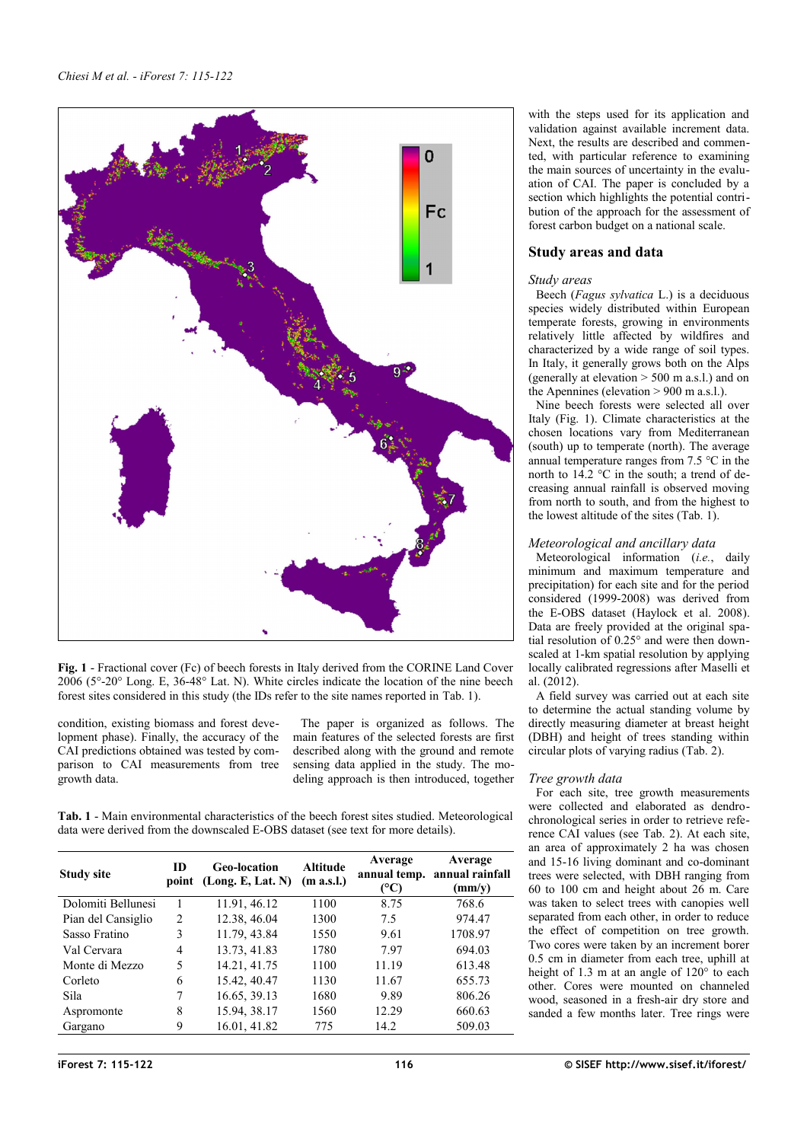

<span id="page-1-1"></span>**Fig. 1** - Fractional cover (Fc) of beech forests in Italy derived from the CORINE Land Cover 2006 (5°-20° Long. E, 36-48° Lat. N). White circles indicate the location of the nine beech forest sites considered in this study (the IDs refer to the site names reported in [Tab. 1\)](#page-1-0).

condition, existing biomass and forest development phase). Finally, the accuracy of the CAI predictions obtained was tested by comparison to CAI measurements from tree growth data.

The paper is organized as follows. The main features of the selected forests are first described along with the ground and remote sensing data applied in the study. The modeling approach is then introduced, together

<span id="page-1-0"></span>**Tab. 1** - Main environmental characteristics of the beech forest sites studied. Meteorological data were derived from the downscaled E-OBS dataset (see text for more details).

| <b>Study site</b>  | <b>ID</b> | <b>Geo-location</b><br>point (Long. E, Lat. N) | <b>Altitude</b><br>(m a.s.l.) | Average<br>(°C) | Average<br>annual temp. annual rainfall<br>(mm/v) |
|--------------------|-----------|------------------------------------------------|-------------------------------|-----------------|---------------------------------------------------|
| Dolomiti Bellunesi |           | 11.91, 46.12                                   | 1100                          | 8.75            | 768.6                                             |
| Pian del Cansiglio | 2         | 12.38, 46.04                                   | 1300                          | 7.5             | 974.47                                            |
| Sasso Fratino      | 3         | 11.79, 43.84                                   | 1550                          | 9.61            | 1708.97                                           |
| Val Cervara        | 4         | 13.73, 41.83                                   | 1780                          | 7.97            | 694.03                                            |
| Monte di Mezzo     | 5         | 14.21, 41.75                                   | 1100                          | 11.19           | 613.48                                            |
| Corleto            | 6         | 15.42, 40.47                                   | 1130                          | 11.67           | 655.73                                            |
| Sila               |           | 16.65, 39.13                                   | 1680                          | 9.89            | 806.26                                            |
| Aspromonte         | 8         | 15.94, 38.17                                   | 1560                          | 12.29           | 660.63                                            |
| Gargano            | 9         | 16.01, 41.82                                   | 775                           | 14.2            | 509.03                                            |

with the steps used for its application and validation against available increment data. Next, the results are described and commented, with particular reference to examining the main sources of uncertainty in the evaluation of CAI. The paper is concluded by a section which highlights the potential contribution of the approach for the assessment of forest carbon budget on a national scale.

# **Study areas and data**

## *Study areas*

Beech (*Fagus sylvatica* L.) is a deciduous species widely distributed within European temperate forests, growing in environments relatively little affected by wildfires and characterized by a wide range of soil types. In Italy, it generally grows both on the Alps (generally at elevation  $> 500$  m a.s.l.) and on the Apennines (elevation > 900 m a.s.l.).

Nine beech forests were selected all over Italy [\(Fig. 1\)](#page-1-1). Climate characteristics at the chosen locations vary from Mediterranean (south) up to temperate (north). The average annual temperature ranges from 7.5 °C in the north to  $14.2$  °C in the south; a trend of decreasing annual rainfall is observed moving from north to south, and from the highest to the lowest altitude of the sites [\(Tab. 1\)](#page-1-0).

## *Meteorological and ancillary data*

Meteorological information (*i.e.*, daily minimum and maximum temperature and precipitation) for each site and for the period considered (1999-2008) was derived from the E-OBS dataset (Haylock et al. 2008). Data are freely provided at the original spatial resolution of 0.25° and were then downscaled at 1-km spatial resolution by applying locally calibrated regressions after Maselli et al. (2012).

A field survey was carried out at each site to determine the actual standing volume by directly measuring diameter at breast height (DBH) and height of trees standing within circular plots of varying radius [\(Tab. 2\)](#page-2-0).

## *Tree growth data*

For each site, tree growth measurements were collected and elaborated as dendrochronological series in order to retrieve reference CAI values (see [Tab. 2\)](#page-2-0). At each site, an area of approximately 2 ha was chosen and 15-16 living dominant and co-dominant trees were selected, with DBH ranging from 60 to 100 cm and height about 26 m. Care was taken to select trees with canopies well separated from each other, in order to reduce the effect of competition on tree growth. Two cores were taken by an increment borer 0.5 cm in diameter from each tree, uphill at height of 1.3 m at an angle of 120° to each other. Cores were mounted on channeled wood, seasoned in a fresh-air dry store and sanded a few months later. Tree rings were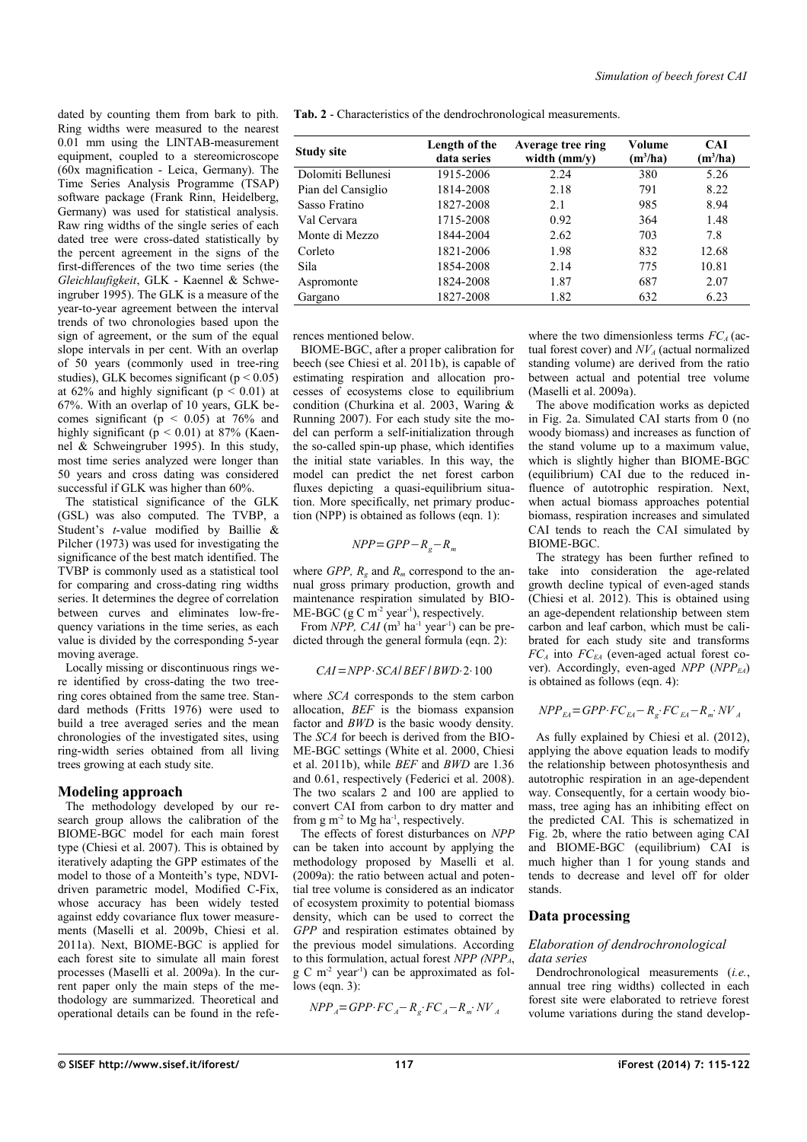dated by counting them from bark to pith. Ring widths were measured to the nearest 0.01 mm using the LINTAB-measurement equipment, coupled to a stereomicroscope (60x magnification - Leica, Germany). The Time Series Analysis Programme (TSAP) software package (Frank Rinn, Heidelberg, Germany) was used for statistical analysis. Raw ring widths of the single series of each dated tree were cross-dated statistically by the percent agreement in the signs of the first-differences of the two time series (the *Gleichlaufigkeit*, GLK - Kaennel & Schweingruber 1995). The GLK is a measure of the year-to-year agreement between the interval trends of two chronologies based upon the sign of agreement, or the sum of the equal slope intervals in per cent. With an overlap of 50 years (commonly used in tree-ring studies), GLK becomes significant ( $p < 0.05$ ) at 62% and highly significant ( $p < 0.01$ ) at 67%. With an overlap of 10 years, GLK becomes significant ( $p \le 0.05$ ) at 76% and highly significant ( $p < 0.01$ ) at 87% (Kaennel & Schweingruber 1995). In this study, most time series analyzed were longer than 50 years and cross dating was considered successful if GLK was higher than 60%.

The statistical significance of the GLK (GSL) was also computed. The TVBP, a Student's *t*-value modified by Baillie & Pilcher (1973) was used for investigating the significance of the best match identified. The TVBP is commonly used as a statistical tool for comparing and cross-dating ring widths series. It determines the degree of correlation between curves and eliminates low-frequency variations in the time series, as each value is divided by the corresponding 5-year moving average.

Locally missing or discontinuous rings were identified by cross-dating the two treering cores obtained from the same tree. Standard methods (Fritts 1976) were used to build a tree averaged series and the mean chronologies of the investigated sites, using ring-width series obtained from all living trees growing at each study site.

## **Modeling approach**

The methodology developed by our research group allows the calibration of the BIOME-BGC model for each main forest type (Chiesi et al. 2007). This is obtained by iteratively adapting the GPP estimates of the model to those of a Monteith's type, NDVIdriven parametric model, Modified C-Fix, whose accuracy has been widely tested against eddy covariance flux tower measurements (Maselli et al. 2009b, Chiesi et al. 2011a). Next, BIOME-BGC is applied for each forest site to simulate all main forest processes (Maselli et al. 2009a). In the current paper only the main steps of the methodology are summarized. Theoretical and operational details can be found in the refe<span id="page-2-0"></span>**Tab. 2** - Characteristics of the dendrochronological measurements.

| <b>Study site</b>  | Length of the<br>data series | Average tree ring<br>width $(mm/y)$ | Volume<br>$(m^3/ha)$ | <b>CAI</b><br>$(m^3/ha)$ |
|--------------------|------------------------------|-------------------------------------|----------------------|--------------------------|
| Dolomiti Bellunesi | 1915-2006                    | 2.24                                | 380                  | 5.26                     |
| Pian del Cansiglio | 1814-2008                    | 2.18                                | 791                  | 8.22                     |
| Sasso Fratino      | 1827-2008                    | 2.1                                 | 985                  | 8.94                     |
| Val Cervara        | 1715-2008                    | 0.92                                | 364                  | 1.48                     |
| Monte di Mezzo     | 1844-2004                    | 2.62                                | 703                  | 7.8                      |
| Corleto            | 1821-2006                    | 1.98                                | 832                  | 12.68                    |
| Sila               | 1854-2008                    | 2.14                                | 775                  | 10.81                    |
| Aspromonte         | 1824-2008                    | 1.87                                | 687                  | 2.07                     |
| Gargano            | 1827-2008                    | 1.82                                | 632                  | 6.23                     |

rences mentioned below.

BIOME-BGC, after a proper calibration for beech (see Chiesi et al. 2011b), is capable of estimating respiration and allocation processes of ecosystems close to equilibrium condition (Churkina et al. 2003, Waring & Running 2007). For each study site the model can perform a self-initialization through the so-called spin-up phase, which identifies the initial state variables. In this way, the model can predict the net forest carbon fluxes depicting a quasi-equilibrium situation. More specifically, net primary production (NPP) is obtained as follows (eqn. 1):

 $NPP = GPP - R<sub>o</sub> - R<sub>m</sub>$ 

where *GPP*,  $R_g$  and  $R_m$  correspond to the annual gross primary production, growth and maintenance respiration simulated by BIO-ME-BGC (g C  $m^{-2}$  year<sup>-1</sup>), respectively.

From *NPP*,  $CAI$  ( $m<sup>3</sup>$  ha<sup>-1</sup> year<sup>-1</sup>) can be predicted through the general formula (eqn. 2):

## *CAI*=*NPP*⋅*SCA*/*BEF* /*BWD*⋅2⋅100

where *SCA* corresponds to the stem carbon allocation, *BEF* is the biomass expansion factor and *BWD* is the basic woody density. The *SCA* for beech is derived from the BIO-ME-BGC settings (White et al. 2000, Chiesi et al. 2011b), while *BEF* and *BWD* are 1.36 and 0.61, respectively (Federici et al. 2008). The two scalars 2 and 100 are applied to convert CAI from carbon to dry matter and from  $g m<sup>-2</sup>$  to Mg ha<sup>-1</sup>, respectively.

The effects of forest disturbances on *NPP* can be taken into account by applying the methodology proposed by Maselli et al. (2009a): the ratio between actual and potential tree volume is considered as an indicator of ecosystem proximity to potential biomass density, which can be used to correct the *GPP* and respiration estimates obtained by the previous model simulations. According to this formulation, actual forest *NPP (NPPA*, g C m-2 year-1) can be approximated as follows (eqn. 3):

$$
NPP_A = GPP \cdot FC_A - R_g \cdot FC_A - R_m \cdot NV_A
$$

where the two dimensionless terms  $FC_A$  (actual forest cover) and *NVA* (actual normalized standing volume) are derived from the ratio between actual and potential tree volume (Maselli et al. 2009a).

The above modification works as depicted in [Fig. 2a](#page-3-0). Simulated CAI starts from 0 (no woody biomass) and increases as function of the stand volume up to a maximum value, which is slightly higher than BIOME-BGC (equilibrium) CAI due to the reduced influence of autotrophic respiration. Next, when actual biomass approaches potential biomass, respiration increases and simulated CAI tends to reach the CAI simulated by BIOME-BGC.

The strategy has been further refined to take into consideration the age-related growth decline typical of even-aged stands (Chiesi et al. 2012). This is obtained using an age-dependent relationship between stem carbon and leaf carbon, which must be calibrated for each study site and transforms  $FC_A$  into  $FC_{EA}$  (even-aged actual forest cover). Accordingly, even-aged *NPP* (*NPPEA*) is obtained as follows (eqn. 4):

$$
NPP_{EA} = GPP \cdot FC_{EA} - R_g \cdot FC_{EA} - R_m \cdot NV_A
$$

As fully explained by Chiesi et al. (2012), applying the above equation leads to modify the relationship between photosynthesis and autotrophic respiration in an age-dependent way. Consequently, for a certain woody biomass, tree aging has an inhibiting effect on the predicted CAI. This is schematized in [Fig. 2b](#page-3-0), where the ratio between aging CAI and BIOME-BGC (equilibrium) CAI is much higher than 1 for young stands and tends to decrease and level off for older stands.

## **Data processing**

#### *Elaboration of dendrochronological data series*

Dendrochronological measurements (*i.e.*, annual tree ring widths) collected in each forest site were elaborated to retrieve forest volume variations during the stand develop-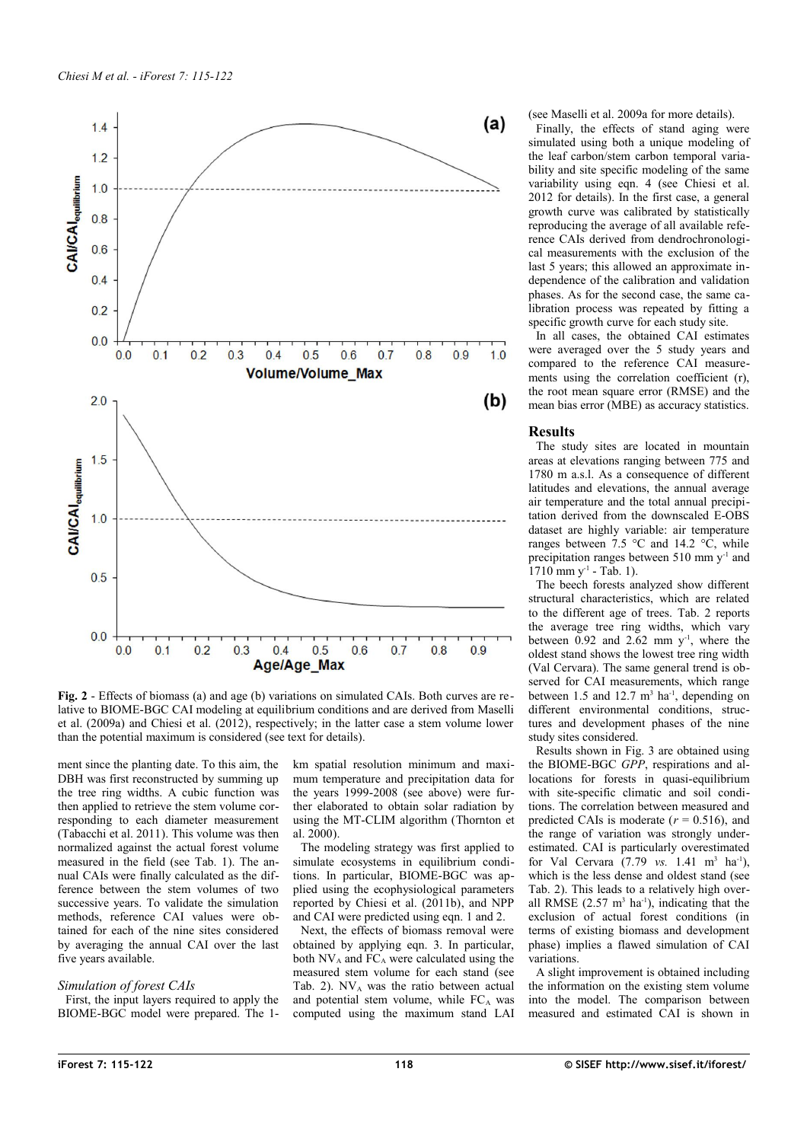

<span id="page-3-0"></span>**Fig. 2** - Effects of biomass (a) and age (b) variations on simulated CAIs. Both curves are relative to BIOME-BGC CAI modeling at equilibrium conditions and are derived from Maselli et al. (2009a) and Chiesi et al. (2012), respectively; in the latter case a stem volume lower than the potential maximum is considered (see text for details).

ment since the planting date. To this aim, the DBH was first reconstructed by summing up the tree ring widths. A cubic function was then applied to retrieve the stem volume corresponding to each diameter measurement (Tabacchi et al. 2011). This volume was then normalized against the actual forest volume measured in the field (see [Tab. 1\)](#page-1-0). The annual CAIs were finally calculated as the difference between the stem volumes of two successive years. To validate the simulation methods, reference CAI values were obtained for each of the nine sites considered by averaging the annual CAI over the last five years available.

#### *Simulation of forest CAIs*

First, the input layers required to apply the BIOME-BGC model were prepared. The 1km spatial resolution minimum and maximum temperature and precipitation data for the years 1999-2008 (see above) were further elaborated to obtain solar radiation by using the MT-CLIM algorithm (Thornton et al. 2000).

The modeling strategy was first applied to simulate ecosystems in equilibrium conditions. In particular, BIOME-BGC was applied using the ecophysiological parameters reported by Chiesi et al. (2011b), and NPP and CAI were predicted using eqn. 1 and 2.

Next, the effects of biomass removal were obtained by applying eqn. 3. In particular, both  $NV_A$  and  $FC_A$  were calculated using the measured stem volume for each stand (see [Tab. 2\)](#page-2-0).  $NV_A$  was the ratio between actual and potential stem volume, while FCA was computed using the maximum stand LAI

(see Maselli et al. 2009a for more details).

Finally, the effects of stand aging were simulated using both a unique modeling of the leaf carbon/stem carbon temporal variability and site specific modeling of the same variability using eqn. 4 (see Chiesi et al. 2012 for details). In the first case, a general growth curve was calibrated by statistically reproducing the average of all available reference CAIs derived from dendrochronological measurements with the exclusion of the last 5 years; this allowed an approximate independence of the calibration and validation phases. As for the second case, the same calibration process was repeated by fitting a specific growth curve for each study site.

In all cases, the obtained CAI estimates were averaged over the 5 study years and compared to the reference CAI measurements using the correlation coefficient (r), the root mean square error (RMSE) and the mean bias error (MBE) as accuracy statistics.

#### **Results**

The study sites are located in mountain areas at elevations ranging between 775 and 1780 m a.s.l. As a consequence of different latitudes and elevations, the annual average air temperature and the total annual precipitation derived from the downscaled E-OBS dataset are highly variable: air temperature ranges between 7.5  $\degree$ C and 14.2  $\degree$ C, while precipitation ranges between 510 mm y-1 and  $1710$  mm y<sup>-1</sup> - [Tab. 1\)](#page-1-0).

The beech forests analyzed show different structural characteristics, which are related to the different age of trees. [Tab. 2](#page-2-0) reports the average tree ring widths, which vary between  $0.92$  and  $2.62$  mm y<sup>-1</sup>, where the oldest stand shows the lowest tree ring width (Val Cervara). The same general trend is observed for CAI measurements, which range between 1.5 and 12.7  $m<sup>3</sup>$  ha<sup>-1</sup>, depending on different environmental conditions, structures and development phases of the nine study sites considered.

Results shown in [Fig. 3](#page-4-0) are obtained using the BIOME-BGC *GPP*, respirations and allocations for forests in quasi-equilibrium with site-specific climatic and soil conditions. The correlation between measured and predicted CAIs is moderate  $(r = 0.516)$ , and the range of variation was strongly underestimated. CAI is particularly overestimated for Val Cervara  $(7.79 \text{ vs. } 1.41 \text{ m}^3 \text{ ha}^{-1})$ , which is the less dense and oldest stand (see [Tab. 2\)](#page-2-0). This leads to a relatively high overall RMSE  $(2.57 \text{ m}^3 \text{ ha}^{-1})$ , indicating that the exclusion of actual forest conditions (in terms of existing biomass and development phase) implies a flawed simulation of CAI variations.

A slight improvement is obtained including the information on the existing stem volume into the model. The comparison between measured and estimated CAI is shown in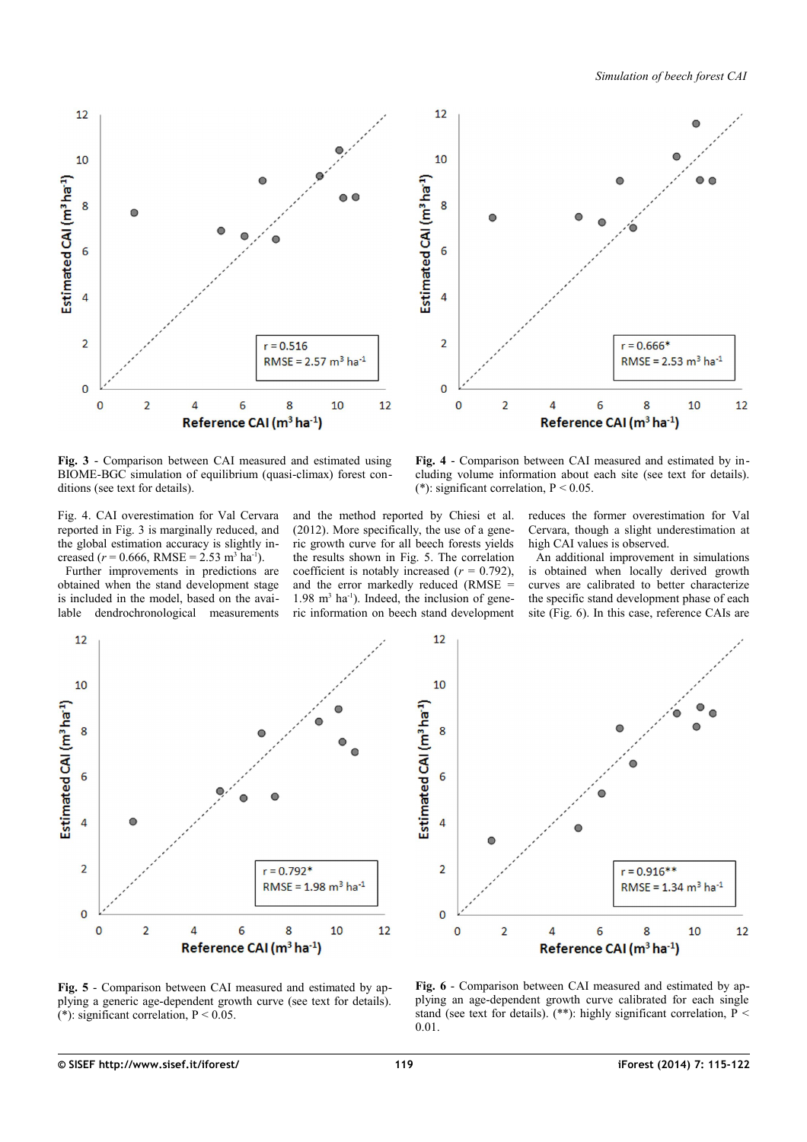*Simulation of beech forest CAI*



<span id="page-4-0"></span>**Fig. 3** - Comparison between CAI measured and estimated using BIOME-BGC simulation of equilibrium (quasi-climax) forest conditions (see text for details).

<span id="page-4-3"></span>**Fig. 4** - Comparison between CAI measured and estimated by including volume information about each site (see text for details). (\*): significant correlation,  $P < 0.05$ .

[Fig. 4.](#page-4-3) CAI overestimation for Val Cervara reported in [Fig. 3](#page-4-0) is marginally reduced, and the global estimation accuracy is slightly increased ( $r = 0.666$ , RMSE = 2.53 m<sup>3</sup> ha<sup>-1</sup>).

Further improvements in predictions are obtained when the stand development stage is included in the model, based on the available dendrochronological measurements and the method reported by Chiesi et al. (2012). More specifically, the use of a generic growth curve for all beech forests yields the results shown in [Fig. 5.](#page-4-2) The correlation coefficient is notably increased  $(r = 0.792)$ , and the error markedly reduced (RMSE =  $1.98 \text{ m}^3$  ha<sup>-1</sup>). Indeed, the inclusion of generic information on beech stand development reduces the former overestimation for Val Cervara, though a slight underestimation at high CAI values is observed.

An additional improvement in simulations is obtained when locally derived growth curves are calibrated to better characterize the specific stand development phase of each site [\(Fig. 6\)](#page-4-1). In this case, reference CAIs are





<span id="page-4-2"></span>**Fig. 5** - Comparison between CAI measured and estimated by applying a generic age-dependent growth curve (see text for details).  $(*)$ : significant correlation, P < 0.05.

<span id="page-4-1"></span>**Fig. 6** - Comparison between CAI measured and estimated by applying an age-dependent growth curve calibrated for each single stand (see text for details). (\*\*): highly significant correlation,  $P <$ 0.01.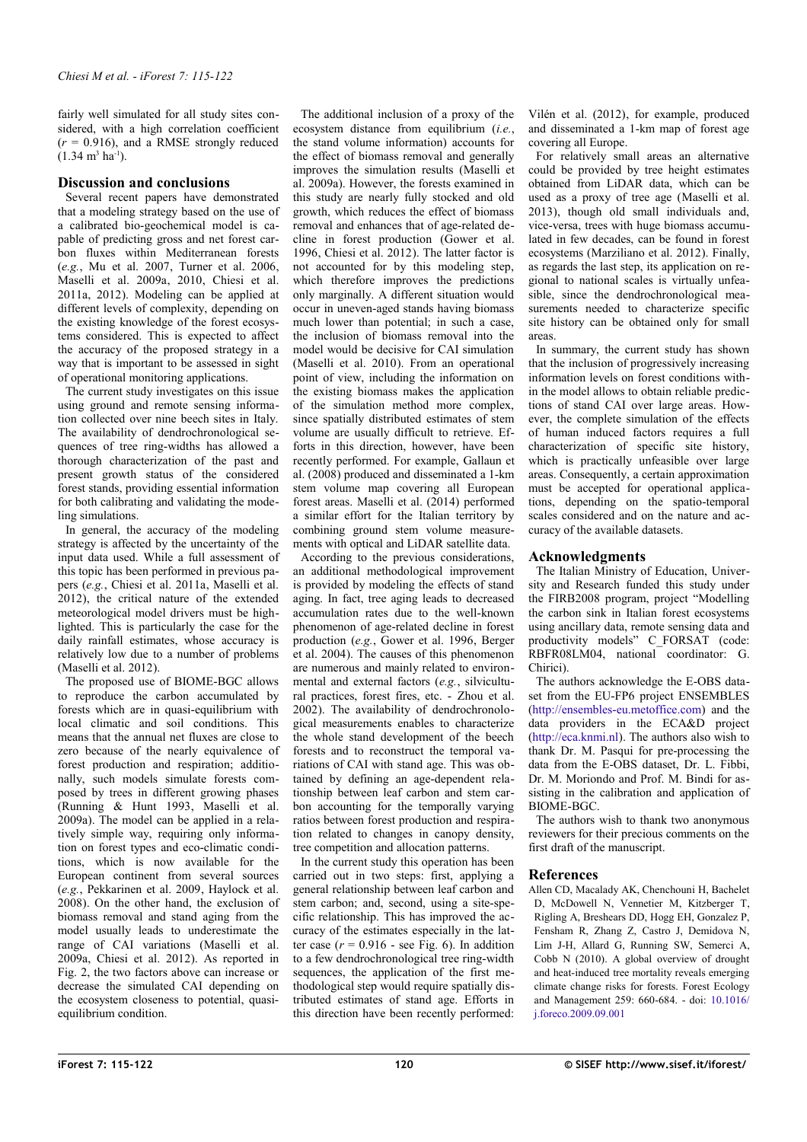fairly well simulated for all study sites considered, with a high correlation coefficient  $(r = 0.916)$ , and a RMSE strongly reduced  $(1.34 \text{ m}^3 \text{ ha}^{-1})$ .

## **Discussion and conclusions**

Several recent papers have demonstrated that a modeling strategy based on the use of a calibrated bio-geochemical model is capable of predicting gross and net forest carbon fluxes within Mediterranean forests (*e.g.*, Mu et al. 2007, Turner et al. 2006, Maselli et al. 2009a, 2010, Chiesi et al. 2011a, 2012). Modeling can be applied at different levels of complexity, depending on the existing knowledge of the forest ecosystems considered. This is expected to affect the accuracy of the proposed strategy in a way that is important to be assessed in sight of operational monitoring applications.

The current study investigates on this issue using ground and remote sensing information collected over nine beech sites in Italy. The availability of dendrochronological sequences of tree ring-widths has allowed a thorough characterization of the past and present growth status of the considered forest stands, providing essential information for both calibrating and validating the modeling simulations.

In general, the accuracy of the modeling strategy is affected by the uncertainty of the input data used. While a full assessment of this topic has been performed in previous papers (*e.g.*, Chiesi et al. 2011a, Maselli et al. 2012), the critical nature of the extended meteorological model drivers must be highlighted. This is particularly the case for the daily rainfall estimates, whose accuracy is relatively low due to a number of problems (Maselli et al. 2012).

The proposed use of BIOME-BGC allows to reproduce the carbon accumulated by forests which are in quasi-equilibrium with local climatic and soil conditions. This means that the annual net fluxes are close to zero because of the nearly equivalence of forest production and respiration; additionally, such models simulate forests composed by trees in different growing phases (Running & Hunt 1993, Maselli et al. 2009a). The model can be applied in a relatively simple way, requiring only information on forest types and eco-climatic conditions, which is now available for the European continent from several sources (*e.g.*, Pekkarinen et al. 2009, Haylock et al. 2008). On the other hand, the exclusion of biomass removal and stand aging from the model usually leads to underestimate the range of CAI variations (Maselli et al. 2009a, Chiesi et al. 2012). As reported in [Fig. 2,](#page-3-0) the two factors above can increase or decrease the simulated CAI depending on the ecosystem closeness to potential, quasiequilibrium condition.

The additional inclusion of a proxy of the ecosystem distance from equilibrium (*i.e.*, the stand volume information) accounts for the effect of biomass removal and generally improves the simulation results (Maselli et al. 2009a). However, the forests examined in this study are nearly fully stocked and old growth, which reduces the effect of biomass removal and enhances that of age-related decline in forest production (Gower et al. 1996, Chiesi et al. 2012). The latter factor is not accounted for by this modeling step, which therefore improves the predictions only marginally. A different situation would occur in uneven-aged stands having biomass much lower than potential; in such a case, the inclusion of biomass removal into the model would be decisive for CAI simulation (Maselli et al. 2010). From an operational point of view, including the information on the existing biomass makes the application of the simulation method more complex, since spatially distributed estimates of stem volume are usually difficult to retrieve. Efforts in this direction, however, have been recently performed. For example, Gallaun et al. (2008) produced and disseminated a 1-km stem volume map covering all European forest areas. Maselli et al. (2014) performed a similar effort for the Italian territory by combining ground stem volume measurements with optical and LiDAR satellite data.

According to the previous considerations, an additional methodological improvement is provided by modeling the effects of stand aging. In fact, tree aging leads to decreased accumulation rates due to the well-known phenomenon of age-related decline in forest production (*e.g.*, Gower et al. 1996, Berger et al. 2004). The causes of this phenomenon are numerous and mainly related to environmental and external factors (*e.g.*, silvicultural practices, forest fires, etc. - Zhou et al. 2002). The availability of dendrochronological measurements enables to characterize the whole stand development of the beech forests and to reconstruct the temporal variations of CAI with stand age. This was obtained by defining an age-dependent relationship between leaf carbon and stem carbon accounting for the temporally varying ratios between forest production and respiration related to changes in canopy density, tree competition and allocation patterns.

In the current study this operation has been carried out in two steps: first, applying a general relationship between leaf carbon and stem carbon; and, second, using a site-specific relationship. This has improved the accuracy of the estimates especially in the latter case  $(r = 0.916 - \text{see Fig. 6})$ . In addition to a few dendrochronological tree ring-width sequences, the application of the first methodological step would require spatially distributed estimates of stand age. Efforts in this direction have been recently performed:

Vilén et al. (2012), for example, produced and disseminated a 1-km map of forest age covering all Europe.

For relatively small areas an alternative could be provided by tree height estimates obtained from LiDAR data, which can be used as a proxy of tree age (Maselli et al. 2013), though old small individuals and, vice-versa, trees with huge biomass accumulated in few decades, can be found in forest ecosystems (Marziliano et al. 2012). Finally, as regards the last step, its application on regional to national scales is virtually unfeasible, since the dendrochronological measurements needed to characterize specific site history can be obtained only for small areas.

In summary, the current study has shown that the inclusion of progressively increasing information levels on forest conditions within the model allows to obtain reliable predictions of stand CAI over large areas. However, the complete simulation of the effects of human induced factors requires a full characterization of specific site history, which is practically unfeasible over large areas. Consequently, a certain approximation must be accepted for operational applications, depending on the spatio-temporal scales considered and on the nature and accuracy of the available datasets.

## **Acknowledgments**

The Italian Ministry of Education, University and Research funded this study under the FIRB2008 program, project "Modelling the carbon sink in Italian forest ecosystems using ancillary data, remote sensing data and productivity models" C\_FORSAT (code: RBFR08LM04, national coordinator: G. Chirici).

The authors acknowledge the E-OBS dataset from the EU-FP6 project ENSEMBLES [\(http://ensembles-eu.metoffice.com\)](http://ensembles-eu.metoffice.com/) and the data providers in the ECA&D project [\(http://eca.knmi.nl\)](http://eca.knmi.nl/). The authors also wish to thank Dr. M. Pasqui for pre-processing the data from the E-OBS dataset, Dr. L. Fibbi, Dr. M. Moriondo and Prof. M. Bindi for assisting in the calibration and application of BIOME-BGC.

The authors wish to thank two anonymous reviewers for their precious comments on the first draft of the manuscript.

# **References**

Allen CD, Macalady AK, Chenchouni H, Bachelet D, McDowell N, Vennetier M, Kitzberger T, Rigling A, Breshears DD, Hogg EH, Gonzalez P, Fensham R, Zhang Z, Castro J, Demidova N, Lim J-H, Allard G, Running SW, Semerci A, Cobb N (2010). A global overview of drought and heat-induced tree mortality reveals emerging climate change risks for forests. Forest Ecology and Management 259: 660-684. - doi: [10.1016/](http://dx.doi.org/10.1016/j.foreco.2009.09.001) [j.foreco.2009.09.001](http://dx.doi.org/10.1016/j.foreco.2009.09.001)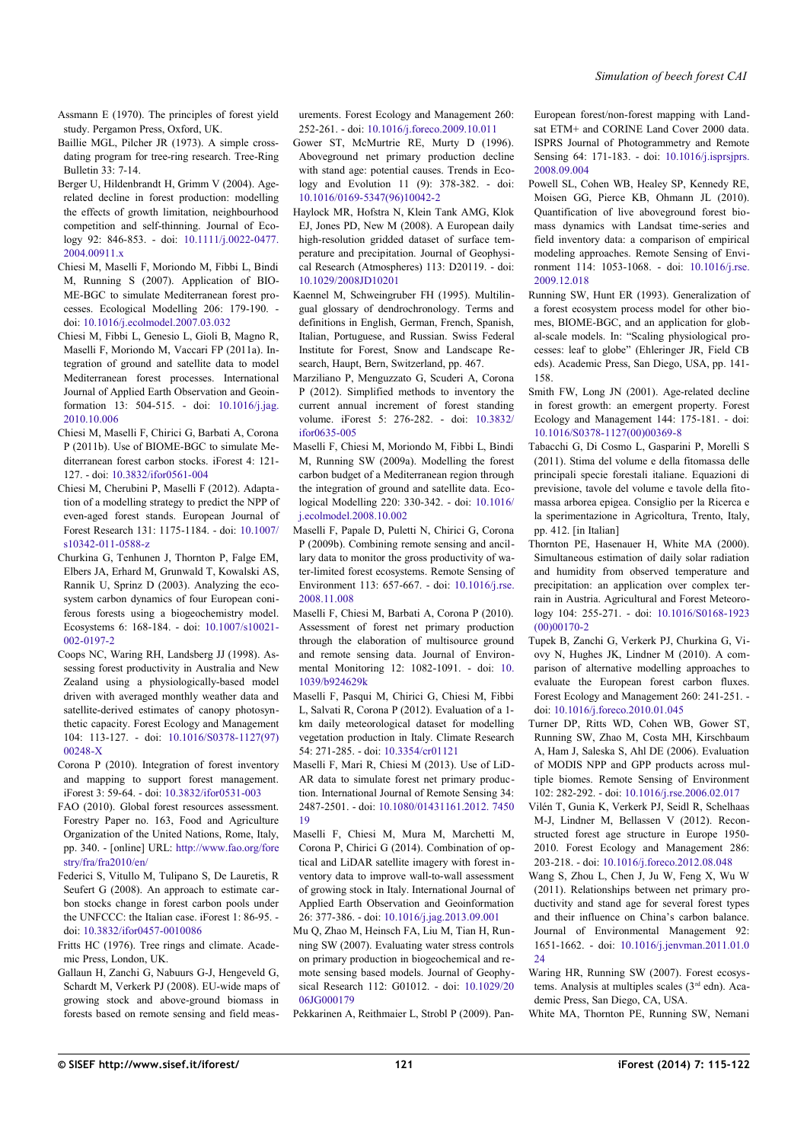Assmann E (1970). The principles of forest yield study. Pergamon Press, Oxford, UK.

- Baillie MGL, Pilcher JR (1973). A simple crossdating program for tree-ring research. Tree-Ring Bulletin 33: 7-14.
- Berger U, Hildenbrandt H, Grimm V (2004). Agerelated decline in forest production: modelling the effects of growth limitation, neighbourhood competition and self-thinning. Journal of Ecology 92: 846-853. - doi: [10.1111/j.0022-0477.](http://dx.doi.org/10.1111/j.0022-0477.2004.00911.x) [2004.00911.x](http://dx.doi.org/10.1111/j.0022-0477.2004.00911.x)
- Chiesi M, Maselli F, Moriondo M, Fibbi L, Bindi M, Running S (2007). Application of BIO-ME-BGC to simulate Mediterranean forest processes. Ecological Modelling 206: 179-190. doi: [10.1016/j.ecolmodel.2007.03.032](http://dx.doi.org/10.1016/j.ecolmodel.2007.03.032)
- Chiesi M, Fibbi L, Genesio L, Gioli B, Magno R, Maselli F, Moriondo M, Vaccari FP (2011a). Integration of ground and satellite data to model Mediterranean forest processes. International Journal of Applied Earth Observation and Geoinformation 13: 504-515. - doi: [10.1016/j.jag.](http://dx.doi.org/10.1016/j.jag.2010.10.006) [2010.10.006](http://dx.doi.org/10.1016/j.jag.2010.10.006)
- Chiesi M, Maselli F, Chirici G, Barbati A, Corona P (2011b). Use of BIOME-BGC to simulate Mediterranean forest carbon stocks. iForest 4: 121- 127. - doi: [10.3832/ifor0561-004](http://dx.doi.org/10.3832/ifor0561-004)
- Chiesi M, Cherubini P, Maselli F (2012). Adaptation of a modelling strategy to predict the NPP of even-aged forest stands. European Journal of Forest Research 131: 1175-1184. - doi: [10.1007/](http://dx.doi.org/10.1007/s10342-011-0588-z) [s10342-011-0588-z](http://dx.doi.org/10.1007/s10342-011-0588-z)
- Churkina G, Tenhunen J, Thornton P, Falge EM, Elbers JA, Erhard M, Grunwald T, Kowalski AS, Rannik U, Sprinz D (2003). Analyzing the ecosystem carbon dynamics of four European coniferous forests using a biogeochemistry model. Ecosystems 6: 168-184. - doi: [10.1007/s10021-](http://dx.doi.org/10.1007/s10021-002-0197-2) [002-0197-2](http://dx.doi.org/10.1007/s10021-002-0197-2)
- Coops NC, Waring RH, Landsberg JJ (1998). Assessing forest productivity in Australia and New Zealand using a physiologically-based model driven with averaged monthly weather data and satellite-derived estimates of canopy photosynthetic capacity. Forest Ecology and Management 104: 113-127. - doi: [10.1016/S0378-1127\(97\)](http://dx.doi.org/10.1016/S0378-1127(97)00248-X) [00248-X](http://dx.doi.org/10.1016/S0378-1127(97)00248-X)
- Corona P (2010). Integration of forest inventory and mapping to support forest management. iForest 3: 59-64. - doi: [10.3832/ifor0531-003](http://dx.doi.org/10.3832/ifor0531-003)
- FAO (2010). Global forest resources assessment. Forestry Paper no. 163, Food and Agriculture Organization of the United Nations, Rome, Italy, pp. 340. - [online] URL: [http://www.fao.org/fore](http://www.fao.org/forestry/fra/fra2010/en/) [stry/fra/fra2010/en/](http://www.fao.org/forestry/fra/fra2010/en/)
- Federici S, Vitullo M, Tulipano S, De Lauretis, R Seufert G (2008). An approach to estimate carbon stocks change in forest carbon pools under the UNFCCC: the Italian case. iForest 1: 86-95. doi: [10.3832/ifor0457-0010086](http://dx.doi.org/10.3832/ifor0457-0010086)
- Fritts HC (1976). Tree rings and climate. Academic Press, London, UK.
- Gallaun H, Zanchi G, Nabuurs G-J, Hengeveld G, Schardt M, Verkerk PJ (2008). EU-wide maps of growing stock and above-ground biomass in forests based on remote sensing and field meas-

urements. Forest Ecology and Management 260: 252-261. - doi: [10.1016/j.foreco.2009.10.011](http://dx.doi.org/10.1016/j.foreco.2009.10.011)

- Gower ST, McMurtrie RE, Murty D (1996). Aboveground net primary production decline with stand age: potential causes. Trends in Ecology and Evolution 11 (9): 378-382. - doi: [10.1016/0169-5347\(96\)10042-2](http://dx.doi.org/10.1016/0169-5347(96)10042-2)
- Haylock MR, Hofstra N, Klein Tank AMG, Klok EJ, Jones PD, New M (2008). A European daily high-resolution gridded dataset of surface temperature and precipitation. Journal of Geophysical Research (Atmospheres) 113: D20119. - doi: [10.1029/2008JD10201](http://dx.doi.org/10.1029/2008JD10201)
- Kaennel M, Schweingruber FH (1995). Multilingual glossary of dendrochronology. Terms and definitions in English, German, French, Spanish, Italian, Portuguese, and Russian. Swiss Federal Institute for Forest, Snow and Landscape Research, Haupt, Bern, Switzerland, pp. 467.
- Marziliano P, Menguzzato G, Scuderi A, Corona P (2012). Simplified methods to inventory the current annual increment of forest standing volume. iForest 5: 276-282. - doi: [10.3832/](http://dx.doi.org/10.3832/ifor0635-005) [ifor0635-005](http://dx.doi.org/10.3832/ifor0635-005)
- Maselli F, Chiesi M, Moriondo M, Fibbi L, Bindi M, Running SW (2009a). Modelling the forest carbon budget of a Mediterranean region through the integration of ground and satellite data. Ecological Modelling 220: 330-342. - doi: [10.1016/](http://dx.doi.org/10.1016/j.ecolmodel.2008.10.002) [j.ecolmodel.2008.10.002](http://dx.doi.org/10.1016/j.ecolmodel.2008.10.002)
- Maselli F, Papale D, Puletti N, Chirici G, Corona P (2009b). Combining remote sensing and ancillary data to monitor the gross productivity of water-limited forest ecosystems. Remote Sensing of Environment 113: 657-667. - doi: [10.1016/j.rse.](http://dx.doi.org/10.1016/j.rse.2008.11.008) [2008.11.008](http://dx.doi.org/10.1016/j.rse.2008.11.008)
- Maselli F, Chiesi M, Barbati A, Corona P (2010). Assessment of forest net primary production through the elaboration of multisource ground and remote sensing data. Journal of Environmental Monitoring 12: 1082-1091. - doi: [10.](http://dx.doi.org/10.1039/b924629k) [1039/b924629k](http://dx.doi.org/10.1039/b924629k)
- Maselli F, Pasqui M, Chirici G, Chiesi M, Fibbi L, Salvati R, Corona P (2012). Evaluation of a 1 km daily meteorological dataset for modelling vegetation production in Italy. Climate Research 54: 271-285. - doi: [10.3354/cr01121](http://dx.doi.org/10.3354/cr01121)
- Maselli F, Mari R, Chiesi M (2013). Use of LiD-AR data to simulate forest net primary production. International Journal of Remote Sensing 34: 2487-2501. - doi: [10.1080/01431161.2012. 7450](http://dx.doi.org/10.1080/01431161.2012.745019) [19](http://dx.doi.org/10.1080/01431161.2012.745019)
- Maselli F, Chiesi M, Mura M, Marchetti M, Corona P, Chirici G (2014). Combination of optical and LiDAR satellite imagery with forest inventory data to improve wall-to-wall assessment of growing stock in Italy. International Journal of Applied Earth Observation and Geoinformation 26: 377-386. - doi: [10.1016/j.jag.2013.09.001](http://dx.doi.org/10.1016/j.jag.2013.09.001)
- Mu Q, Zhao M, Heinsch FA, Liu M, Tian H, Running SW (2007). Evaluating water stress controls on primary production in biogeochemical and remote sensing based models. Journal of Geophysical Research 112: G01012. - doi: [10.1029/20](http://dx.doi.org/10.1029/2006JG000179) [06JG000179](http://dx.doi.org/10.1029/2006JG000179)

Pekkarinen A, Reithmaier L, Strobl P (2009). Pan-

European forest/non-forest mapping with Landsat ETM+ and CORINE Land Cover 2000 data. ISPRS Journal of Photogrammetry and Remote Sensing 64: 171-183. - doi: [10.1016/j.isprsjprs.](http://dx.doi.org/10.1016/j.isprsjprs.2008.09.004) [2008.09.004](http://dx.doi.org/10.1016/j.isprsjprs.2008.09.004)

- Powell SL, Cohen WB, Healey SP, Kennedy RE, Moisen GG, Pierce KB, Ohmann JL (2010). Quantification of live aboveground forest biomass dynamics with Landsat time-series and field inventory data: a comparison of empirical modeling approaches. Remote Sensing of Environment 114: 1053-1068. - doi: [10.1016/j.rse.](http://dx.doi.org/10.1016/j.rse.2009.12.018) [2009.12.018](http://dx.doi.org/10.1016/j.rse.2009.12.018)
- Running SW, Hunt ER (1993). Generalization of a forest ecosystem process model for other biomes, BIOME-BGC, and an application for global-scale models. In: "Scaling physiological processes: leaf to globe" (Ehleringer JR, Field CB eds). Academic Press, San Diego, USA, pp. 141- 158.
- Smith FW, Long JN (2001). Age-related decline in forest growth: an emergent property. Forest Ecology and Management 144: 175-181. - doi: [10.1016/S0378-1127\(00\)00369-8](http://dx.doi.org/10.1016/S0378-1127(00)00369-8)
- Tabacchi G, Di Cosmo L, Gasparini P, Morelli S (2011). Stima del volume e della fitomassa delle principali specie forestali italiane. Equazioni di previsione, tavole del volume e tavole della fitomassa arborea epigea. Consiglio per la Ricerca e la sperimentazione in Agricoltura, Trento, Italy, pp. 412. [in Italian]
- Thornton PE, Hasenauer H, White MA (2000). Simultaneous estimation of daily solar radiation and humidity from observed temperature and precipitation: an application over complex terrain in Austria. Agricultural and Forest Meteorology 104: 255-271. - doi: [10.1016/S0168-1923](http://dx.doi.org/10.1016/S0168-1923(00)00170-2) [\(00\)00170-2](http://dx.doi.org/10.1016/S0168-1923(00)00170-2)
- Tupek B, Zanchi G, Verkerk PJ, Churkina G, Viovy N, Hughes JK, Lindner M (2010). A comparison of alternative modelling approaches to evaluate the European forest carbon fluxes. Forest Ecology and Management 260: 241-251. doi: [10.1016/j.foreco.2010.01.045](http://dx.doi.org/10.1016/j.foreco.2010.01.045)
- Turner DP, Ritts WD, Cohen WB, Gower ST, Running SW, Zhao M, Costa MH, Kirschbaum A, Ham J, Saleska S, Ahl DE (2006). Evaluation of MODIS NPP and GPP products across multiple biomes. Remote Sensing of Environment 102: 282-292. - doi: [10.1016/j.rse.2006.02.017](http://dx.doi.org/10.1016/j.rse.2006.02.017)
- Vilén T, Gunia K, Verkerk PJ, Seidl R, Schelhaas M-J, Lindner M, Bellassen V (2012). Reconstructed forest age structure in Europe 1950- 2010. Forest Ecology and Management 286: 203-218. - doi: [10.1016/j.foreco.2012.08.048](http://dx.doi.org/10.1016/j.foreco.2012.08.048)
- Wang S, Zhou L, Chen J, Ju W, Feng X, Wu W (2011). Relationships between net primary productivity and stand age for several forest types and their influence on China's carbon balance. Journal of Environmental Management 92: 1651-1662. - doi: [10.1016/j.jenvman.2011.01.0](http://dx.doi.org/10.1016/j.jenvman.2011.01.024) [24](http://dx.doi.org/10.1016/j.jenvman.2011.01.024)
- Waring HR, Running SW (2007). Forest ecosystems. Analysis at multiples scales (3<sup>rd</sup> edn). Academic Press, San Diego, CA, USA.
- White MA, Thornton PE, Running SW, Nemani